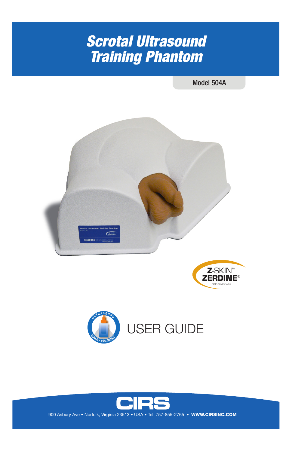# *Scrotal Ultrasound Training Phantom*

#### Model 504A







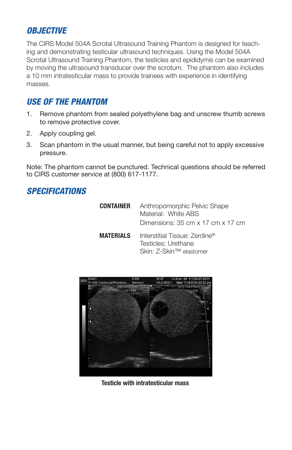## *OBJECTIVE*

The CIRS Model 504A Scrotal Ultrasound Training Phantom is designed for teaching and demonstrating testicular ultrasound techniques. Using the Model 504A Scrotal Ultrasound Training Phantom, the testicles and epididymis can be examined by moving the ultrasound transducer over the scrotum. The phantom also includes a 10 mm intratesticular mass to provide trainees with experience in identifying masses.

#### *USE OF THE PHANTOM*

- 1. Remove phantom from sealed polyethylene bag and unscrew thumb screws to remove protective cover.
- 2. Apply coupling gel.
- 3. Scan phantom in the usual manner, but being careful not to apply excessive pressure.

Note: The phantom cannot be punctured. Technical questions should be referred to CIRS customer service at (800) 617-1177.

## *SPECIFICATIONS*

| CONTAINER        | Anthropomorphic Pelvic Shape<br>Material: White ABS<br>Dimensions: 35 cm x 17 cm x 17 cm |
|------------------|------------------------------------------------------------------------------------------|
| <b>MATERIALS</b> | Interstitial Tissue: Zerdine®<br>Testicles: Urethane<br>Skin: Z-Skin™ elastomer          |



**Testicle with intratesticular mass**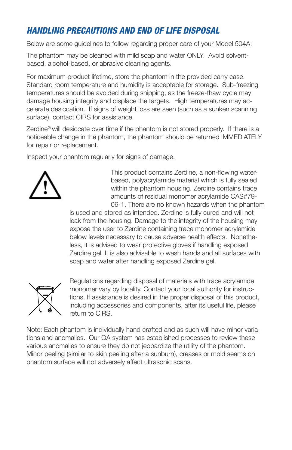## *HANDLING PRECAUTIONS AND END OF LIFE DISPOSAL*

Below are some guidelines to follow regarding proper care of your Model 504A:

The phantom may be cleaned with mild soap and water ONLY. Avoid solventbased, alcohol-based, or abrasive cleaning agents.

For maximum product lifetime, store the phantom in the provided carry case. Standard room temperature and humidity is acceptable for storage. Sub-freezing temperatures should be avoided during shipping, as the freeze-thaw cycle may damage housing integrity and displace the targets. High temperatures may accelerate desiccation. If signs of weight loss are seen (such as a sunken scanning surface), contact CIRS for assistance.

Zerdine® will desiccate over time if the phantom is not stored properly. If there is a noticeable change in the phantom, the phantom should be returned IMMEDIATELY for repair or replacement.

Inspect your phantom regularly for signs of damage.



This product contains Zerdine, a non-flowing waterbased, polyacrylamide material which is fully sealed within the phantom housing. Zerdine contains trace amounts of residual monomer acrylamide CAS#79- 06-1. There are no known hazards when the phantom

is used and stored as intended. Zerdine is fully cured and will not leak from the housing. Damage to the integrity of the housing may expose the user to Zerdine containing trace monomer acrylamide below levels necessary to cause adverse health effects. Nonetheless, it is advised to wear protective gloves if handling exposed Zerdine gel. It is also advisable to wash hands and all surfaces with soap and water after handling exposed Zerdine gel.



Regulations regarding disposal of materials with trace acrylamide monomer vary by locality. Contact your local authority for instructions. If assistance is desired in the proper disposal of this product, including accessories and components, after its useful life, please return to CIRS.

Note: Each phantom is individually hand crafted and as such will have minor variations and anomalies. Our QA system has established processes to review these various anomalies to ensure they do not jeopardize the utility of the phantom. Minor peeling (similar to skin peeling after a sunburn), creases or mold seams on phantom surface will not adversely affect ultrasonic scans.